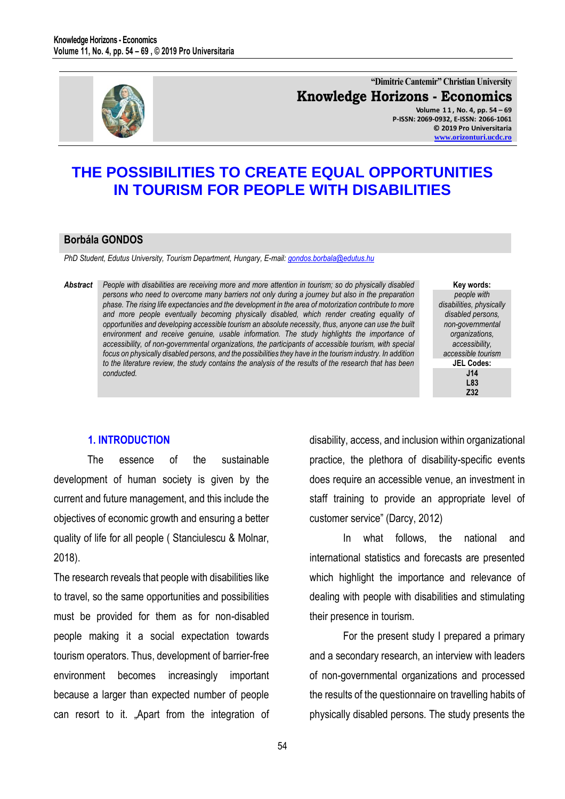

**"Dimitrie Cantemir" Christian University Knowledge Horizons - Economics Volume 1 1 , No. 4, pp. 54 – 69**

**P-ISSN: 2069-0932, E-ISSN: 2066-1061 © 2019 Pro Universitaria [www.orizonturi.ucdc.ro](http://www.orizonturi.ucdc.ro/)**

# **THE POSSIBILITIES TO CREATE EQUAL OPPORTUNITIES IN TOURISM FOR PEOPLE WITH DISABILITIES**

## **Borbála GONDOS**

*PhD Student, Edutus University, Tourism Department, Hungary, E-mail[: gondos.borbala@edutus.hu](mailto:gondos.borbala@edutus.hu)* 

*Abstract People with disabilities are receiving more and more attention in tourism; so do physically disabled persons who need to overcome many barriers not only during a journey but also in the preparation phase. The rising life expectancies and the development in the area of motorization contribute to more and more people eventually becoming physically disabled, which render creating equality of opportunities and developing accessible tourism an absolute necessity, thus, anyone can use the built environment and receive genuine, usable information. The study highlights the importance of accessibility, of non-governmental organizations, the participants of accessible tourism, with special focus on physically disabled persons, and the possibilities they have in the tourism industry. In addition to the literature review, the study contains the analysis of the results of the research that has been conducted.*

**Key words:** *people with disabilities, physically disabled persons, non-governmental organizations, accessibility, accessible tourism* **JEL Codes: J14 L83 Z32**

## **1. INTRODUCTION**

The essence of the sustainable development of human society is given by the current and future management, and this include the objectives of economic growth and ensuring a better quality of life for all people ( Stanciulescu & Molnar, 2018).

The research reveals that people with disabilities like to travel, so the same opportunities and possibilities must be provided for them as for non-disabled people making it a social expectation towards tourism operators. Thus, development of barrier-free environment becomes increasingly important because a larger than expected number of people can resort to it. "Apart from the integration of disability, access, and inclusion within organizational practice, the plethora of disability-specific events does require an accessible venue, an investment in staff training to provide an appropriate level of customer service" (Darcy, 2012)

In what follows, the national and international statistics and forecasts are presented which highlight the importance and relevance of dealing with people with disabilities and stimulating their presence in tourism.

For the present study I prepared a primary and a secondary research, an interview with leaders of non-governmental organizations and processed the results of the questionnaire on travelling habits of physically disabled persons. The study presents the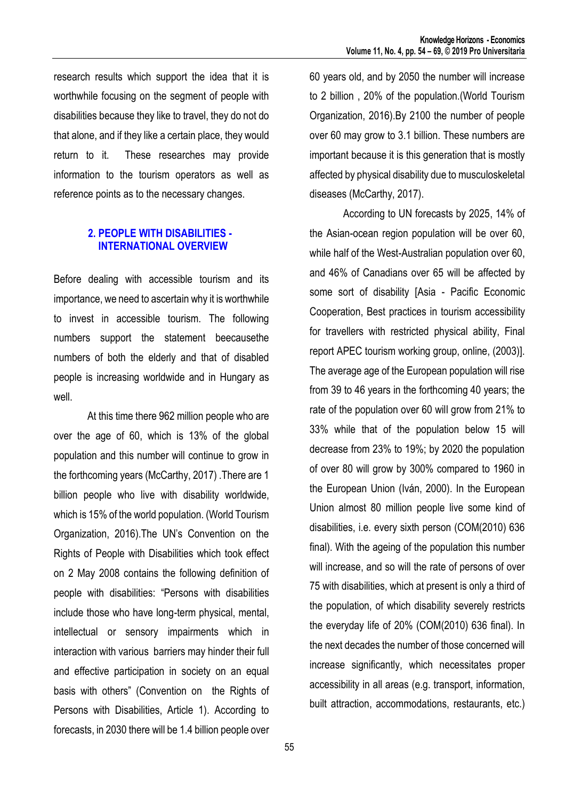research results which support the idea that it is worthwhile focusing on the segment of people with disabilities because they like to travel, they do not do that alone, and if they like a certain place, they would return to it. These researches may provide information to the tourism operators as well as reference points as to the necessary changes.

## **2. PEOPLE WITH DISABILITIES - INTERNATIONAL OVERVIEW**

Before dealing with accessible tourism and its importance, we need to ascertain why it is worthwhile to invest in accessible tourism. The following numbers support the statement beecausethe numbers of both the elderly and that of disabled people is increasing worldwide and in Hungary as well.

At this time there 962 million people who are over the age of 60, which is 13% of the global population and this number will continue to grow in the forthcoming years (McCarthy, 2017) .There are 1 billion people who live with disability worldwide, which is 15% of the world population. (World Tourism Organization, 2016).The UN's Convention on the Rights of People with Disabilities which took effect on 2 May 2008 contains the following definition of people with disabilities: "Persons with disabilities include those who have long-term physical, mental, intellectual or sensory impairments which in interaction with various barriers may hinder their full and effective participation in society on an equal basis with others" (Convention on the Rights of Persons with Disabilities, Article 1). According to forecasts, in 2030 there will be 1.4 billion people over 60 years old, and by 2050 the number will increase to 2 billion , 20% of the population.(World Tourism Organization, 2016).By 2100 the number of people over 60 may grow to 3.1 billion. These numbers are important because it is this generation that is mostly affected by physical disability due to musculoskeletal diseases (McCarthy, 2017).

According to UN forecasts by 2025, 14% of the Asian-ocean region population will be over 60, while half of the West-Australian population over 60, and 46% of Canadians over 65 will be affected by some sort of disability [Asia - Pacific Economic Cooperation, Best practices in tourism accessibility for travellers with restricted physical ability, Final report APEC tourism working group, online, (2003)]. The average age of the European population will rise from 39 to 46 years in the forthcoming 40 years; the rate of the population over 60 will grow from 21% to 33% while that of the population below 15 will decrease from 23% to 19%; by 2020 the population of over 80 will grow by 300% compared to 1960 in the European Union (Iván, 2000). In the European Union almost 80 million people live some kind of disabilities, i.e. every sixth person (COM(2010) 636 final). With the ageing of the population this number will increase, and so will the rate of persons of over 75 with disabilities, which at present is only a third of the population, of which disability severely restricts the everyday life of 20% (COM(2010) 636 final). In the next decades the number of those concerned will increase significantly, which necessitates proper accessibility in all areas (e.g. transport, information, built attraction, accommodations, restaurants, etc.)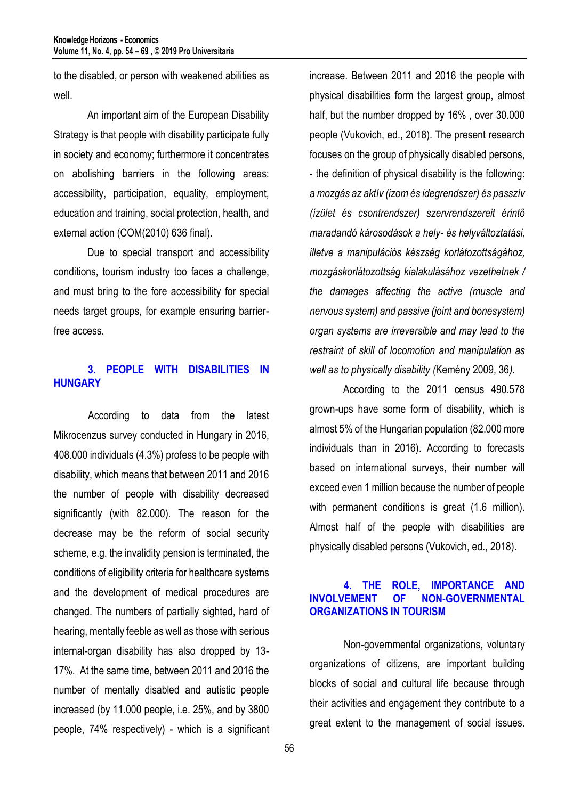to the disabled, or person with weakened abilities as well.

An important aim of the European Disability Strategy is that people with disability participate fully in society and economy; furthermore it concentrates on abolishing barriers in the following areas: accessibility, participation, equality, employment, education and training, social protection, health, and external action (COM(2010) 636 final).

Due to special transport and accessibility conditions, tourism industry too faces a challenge, and must bring to the fore accessibility for special needs target groups, for example ensuring barrierfree access.

## **3. PEOPLE WITH DISABILITIES IN HUNGARY**

According to data from the latest Mikrocenzus survey conducted in Hungary in 2016, 408.000 individuals (4.3%) profess to be people with disability, which means that between 2011 and 2016 the number of people with disability decreased significantly (with 82.000). The reason for the decrease may be the reform of social security scheme, e.g. the invalidity pension is terminated, the conditions of eligibility criteria for healthcare systems and the development of medical procedures are changed. The numbers of partially sighted, hard of hearing, mentally feeble as well as those with serious internal-organ disability has also dropped by 13- 17%. At the same time, between 2011 and 2016 the number of mentally disabled and autistic people increased (by 11.000 people, i.e. 25%, and by 3800 people, 74% respectively) - which is a significant

increase. Between 2011 and 2016 the people with physical disabilities form the largest group, almost half, but the number dropped by 16% , over 30.000 people (Vukovich, ed., 2018). The present research focuses on the group of physically disabled persons, - the definition of physical disability is the following: *a mozgás az aktív (izom és idegrendszer) és passzív (ízület és csontrendszer) szervrendszereit érintő maradandó károsodások a hely- és helyváltoztatási, illetve a manipulációs készség korlátozottságához, mozgáskorlátozottság kialakulásához vezethetnek / the damages affecting the active (muscle and nervous system) and passive (joint and bonesystem) organ systems are irreversible and may lead to the restraint of skill of locomotion and manipulation as well as to physically disability (*Kemény 2009, 36*).*

According to the 2011 census 490.578 grown-ups have some form of disability, which is almost 5% of the Hungarian population (82.000 more individuals than in 2016). According to forecasts based on international surveys, their number will exceed even 1 million because the number of people with permanent conditions is great (1.6 million). Almost half of the people with disabilities are physically disabled persons (Vukovich, ed., 2018).

## **4. THE ROLE, IMPORTANCE AND INVOLVEMENT OF NON-GOVERNMENTAL ORGANIZATIONS IN TOURISM**

Non-governmental organizations, voluntary organizations of citizens, are important building blocks of social and cultural life because through their activities and engagement they contribute to a great extent to the management of social issues.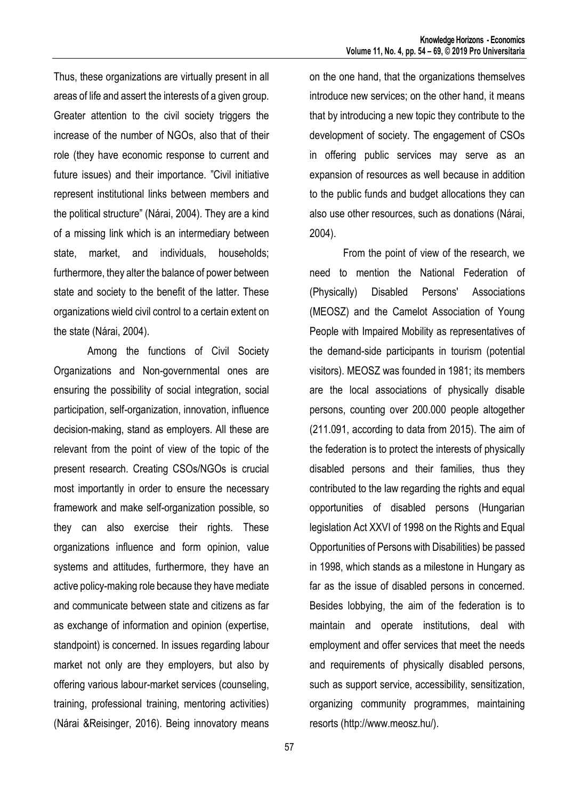Thus, these organizations are virtually present in all areas of life and assert the interests of a given group. Greater attention to the civil society triggers the increase of the number of NGOs, also that of their role (they have economic response to current and future issues) and their importance. "Civil initiative represent institutional links between members and the political structure" (Nárai, 2004). They are a kind of a missing link which is an intermediary between state, market, and individuals, households; furthermore, they alter the balance of power between state and society to the benefit of the latter. These organizations wield civil control to a certain extent on the state (Nárai, 2004).

Among the functions of Civil Society Organizations and Non-governmental ones are ensuring the possibility of social integration, social participation, self-organization, innovation, influence decision-making, stand as employers. All these are relevant from the point of view of the topic of the present research. Creating CSOs/NGOs is crucial most importantly in order to ensure the necessary framework and make self-organization possible, so they can also exercise their rights. These organizations influence and form opinion, value systems and attitudes, furthermore, they have an active policy-making role because they have mediate and communicate between state and citizens as far as exchange of information and opinion (expertise, standpoint) is concerned. In issues regarding labour market not only are they employers, but also by offering various labour-market services (counseling, training, professional training, mentoring activities) (Nárai &Reisinger, 2016). Being innovatory means

on the one hand, that the organizations themselves introduce new services; on the other hand, it means that by introducing a new topic they contribute to the development of society. The engagement of CSOs in offering public services may serve as an expansion of resources as well because in addition to the public funds and budget allocations they can also use other resources, such as donations (Nárai, 2004).

From the point of view of the research, we need to mention the National Federation of (Physically) Disabled Persons' Associations (MEOSZ) and the Camelot Association of Young People with Impaired Mobility as representatives of the demand-side participants in tourism (potential visitors). MEOSZ was founded in 1981; its members are the local associations of physically disable persons, counting over 200.000 people altogether (211.091, according to data from 2015). The aim of the federation is to protect the interests of physically disabled persons and their families, thus they contributed to the law regarding the rights and equal opportunities of disabled persons (Hungarian legislation Act XXVI of 1998 on the Rights and Equal Opportunities of Persons with Disabilities) be passed in 1998, which stands as a milestone in Hungary as far as the issue of disabled persons in concerned. Besides lobbying, the aim of the federation is to maintain and operate institutions, deal with employment and offer services that meet the needs and requirements of physically disabled persons, such as support service, accessibility, sensitization, organizing community programmes, maintaining resorts (http://www.meosz.hu/).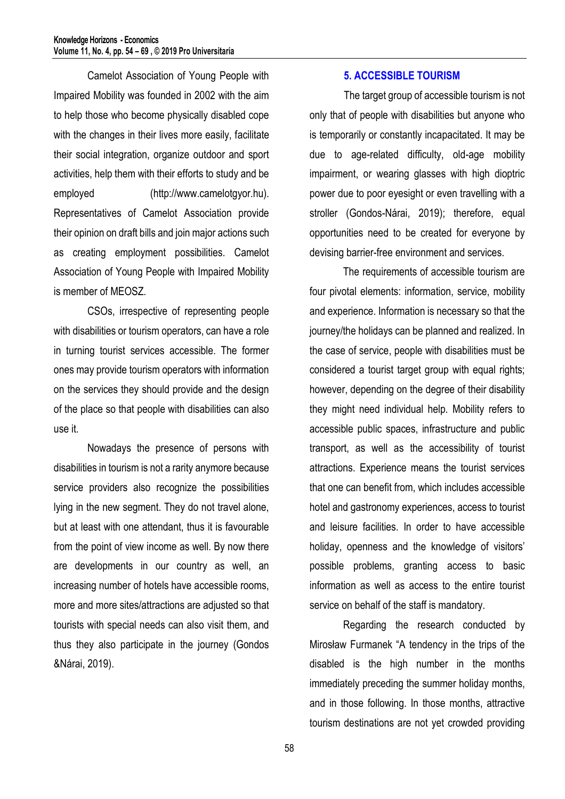Camelot Association of Young People with Impaired Mobility was founded in 2002 with the aim to help those who become physically disabled cope with the changes in their lives more easily, facilitate their social integration, organize outdoor and sport activities, help them with their efforts to study and be employed (http://www.camelotgyor.hu). Representatives of Camelot Association provide their opinion on draft bills and join major actions such as creating employment possibilities. Camelot Association of Young People with Impaired Mobility is member of MEOSZ.

CSOs, irrespective of representing people with disabilities or tourism operators, can have a role in turning tourist services accessible. The former ones may provide tourism operators with information on the services they should provide and the design of the place so that people with disabilities can also use it.

Nowadays the presence of persons with disabilities in tourism is not a rarity anymore because service providers also recognize the possibilities lying in the new segment. They do not travel alone, but at least with one attendant, thus it is favourable from the point of view income as well. By now there are developments in our country as well, an increasing number of hotels have accessible rooms, more and more sites/attractions are adjusted so that tourists with special needs can also visit them, and thus they also participate in the journey (Gondos &Nárai, 2019).

#### **5. ACCESSIBLE TOURISM**

The target group of accessible tourism is not only that of people with disabilities but anyone who is temporarily or constantly incapacitated. It may be due to age-related difficulty, old-age mobility impairment, or wearing glasses with high dioptric power due to poor eyesight or even travelling with a stroller (Gondos-Nárai, 2019); therefore, equal opportunities need to be created for everyone by devising barrier-free environment and services.

The requirements of accessible tourism are four pivotal elements: information, service, mobility and experience. Information is necessary so that the journey/the holidays can be planned and realized. In the case of service, people with disabilities must be considered a tourist target group with equal rights; however, depending on the degree of their disability they might need individual help. Mobility refers to accessible public spaces, infrastructure and public transport, as well as the accessibility of tourist attractions. Experience means the tourist services that one can benefit from, which includes accessible hotel and gastronomy experiences, access to tourist and leisure facilities. In order to have accessible holiday, openness and the knowledge of visitors' possible problems, granting access to basic information as well as access to the entire tourist service on behalf of the staff is mandatory.

Regarding the research conducted by Mirosław Furmanek "A tendency in the trips of the disabled is the high number in the months immediately preceding the summer holiday months, and in those following. In those months, attractive tourism destinations are not yet crowded providing

58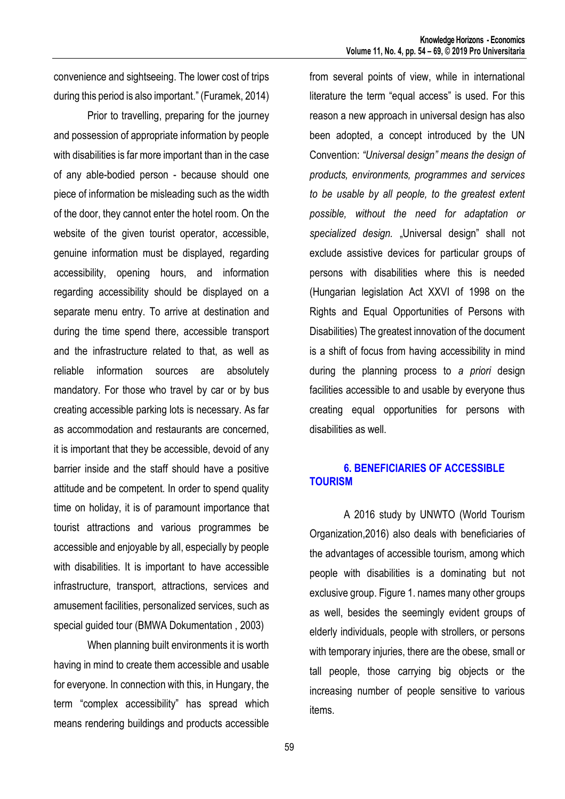convenience and sightseeing. The lower cost of trips during this period is also important." (Furamek, 2014)

Prior to travelling, preparing for the journey and possession of appropriate information by people with disabilities is far more important than in the case of any able-bodied person - because should one piece of information be misleading such as the width of the door, they cannot enter the hotel room. On the website of the given tourist operator, accessible, genuine information must be displayed, regarding accessibility, opening hours, and information regarding accessibility should be displayed on a separate menu entry. To arrive at destination and during the time spend there, accessible transport and the infrastructure related to that, as well as reliable information sources are absolutely mandatory. For those who travel by car or by bus creating accessible parking lots is necessary. As far as accommodation and restaurants are concerned, it is important that they be accessible, devoid of any barrier inside and the staff should have a positive attitude and be competent. In order to spend quality time on holiday, it is of paramount importance that tourist attractions and various programmes be accessible and enjoyable by all, especially by people with disabilities. It is important to have accessible infrastructure, transport, attractions, services and amusement facilities, personalized services, such as special guided tour (BMWA Dokumentation , 2003)

When planning built environments it is worth having in mind to create them accessible and usable for everyone. In connection with this, in Hungary, the term "complex accessibility" has spread which means rendering buildings and products accessible from several points of view, while in international literature the term "equal access" is used. For this reason a new approach in universal design has also been adopted, a concept introduced by the UN Convention: *"Universal design" means the design of products, environments, programmes and services to be usable by all people, to the greatest extent possible, without the need for adaptation or*  specialized design. "Universal design" shall not exclude assistive devices for particular groups of persons with disabilities where this is needed (Hungarian legislation Act XXVI of 1998 on the Rights and Equal Opportunities of Persons with Disabilities) The greatest innovation of the document is a shift of focus from having accessibility in mind during the planning process to *a priori* design facilities accessible to and usable by everyone thus creating equal opportunities for persons with disabilities as well.

## **6. BENEFICIARIES OF ACCESSIBLE TOURISM**

A 2016 study by UNWTO (World Tourism Organization,2016) also deals with beneficiaries of the advantages of accessible tourism, among which people with disabilities is a dominating but not exclusive group. Figure 1. names many other groups as well, besides the seemingly evident groups of elderly individuals, people with strollers, or persons with temporary injuries, there are the obese, small or tall people, those carrying big objects or the increasing number of people sensitive to various items.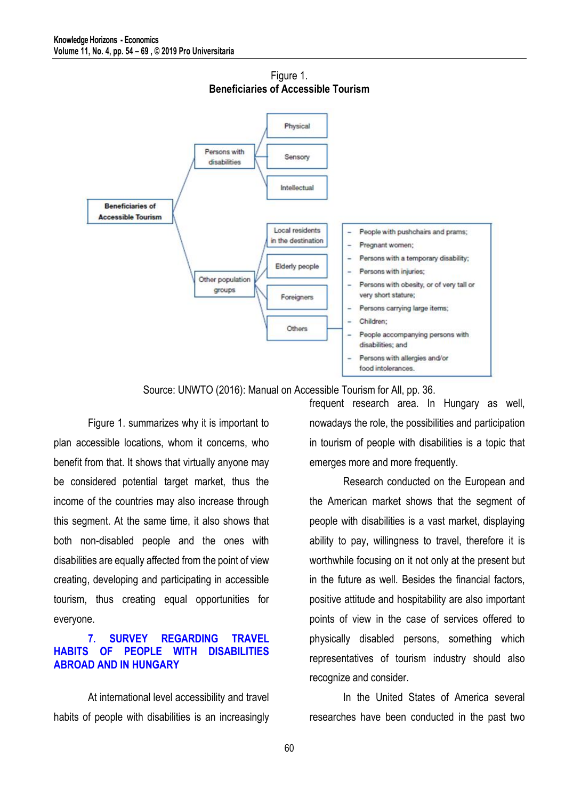

Figure 1. **Beneficiaries of Accessible Tourism**

Source: UNWTO (2016): Manual on Accessible Tourism for All, pp. 36.

Figure 1. summarizes why it is important to plan accessible locations, whom it concerns, who benefit from that. It shows that virtually anyone may be considered potential target market, thus the income of the countries may also increase through this segment. At the same time, it also shows that both non-disabled people and the ones with disabilities are equally affected from the point of view creating, developing and participating in accessible tourism, thus creating equal opportunities for everyone.

## **7. SURVEY REGARDING TRAVEL HABITS OF PEOPLE WITH DISABILITIES ABROAD AND IN HUNGARY**

At international level accessibility and travel habits of people with disabilities is an increasingly

frequent research area. In Hungary as well, nowadays the role, the possibilities and participation in tourism of people with disabilities is a topic that emerges more and more frequently.

Research conducted on the European and the American market shows that the segment of people with disabilities is a vast market, displaying ability to pay, willingness to travel, therefore it is worthwhile focusing on it not only at the present but in the future as well. Besides the financial factors, positive attitude and hospitability are also important points of view in the case of services offered to physically disabled persons, something which representatives of tourism industry should also recognize and consider.

In the United States of America several researches have been conducted in the past two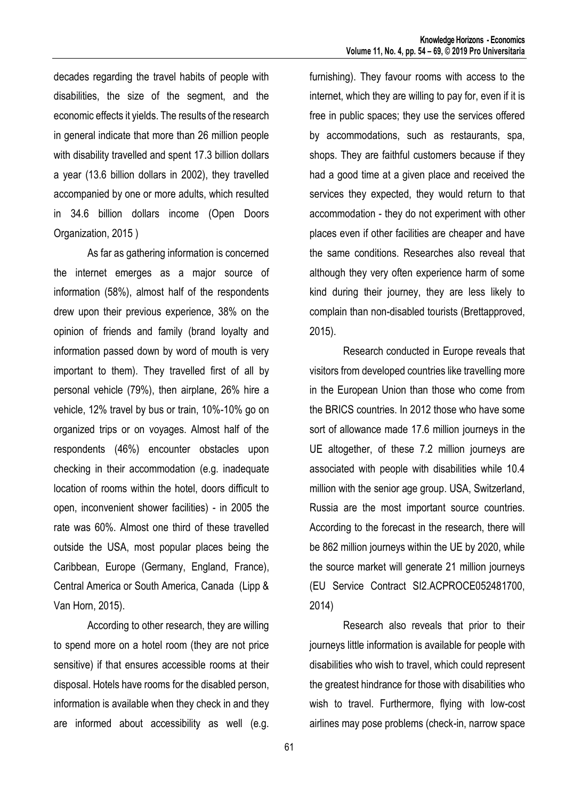decades regarding the travel habits of people with disabilities, the size of the segment, and the economic effects it yields. The results of the research in general indicate that more than 26 million people with disability travelled and spent 17.3 billion dollars a year (13.6 billion dollars in 2002), they travelled accompanied by one or more adults, which resulted in 34.6 billion dollars income (Open Doors Organization, 2015 )

As far as gathering information is concerned the internet emerges as a major source of information (58%), almost half of the respondents drew upon their previous experience, 38% on the opinion of friends and family (brand loyalty and information passed down by word of mouth is very important to them). They travelled first of all by personal vehicle (79%), then airplane, 26% hire a vehicle, 12% travel by bus or train, 10%-10% go on organized trips or on voyages. Almost half of the respondents (46%) encounter obstacles upon checking in their accommodation (e.g. inadequate location of rooms within the hotel, doors difficult to open, inconvenient shower facilities) - in 2005 the rate was 60%. Almost one third of these travelled outside the USA, most popular places being the Caribbean, Europe (Germany, England, France), Central America or South America, Canada (Lipp & Van Horn, 2015).

According to other research, they are willing to spend more on a hotel room (they are not price sensitive) if that ensures accessible rooms at their disposal. Hotels have rooms for the disabled person, information is available when they check in and they are informed about accessibility as well (e.g. furnishing). They favour rooms with access to the internet, which they are willing to pay for, even if it is free in public spaces; they use the services offered by accommodations, such as restaurants, spa, shops. They are faithful customers because if they had a good time at a given place and received the services they expected, they would return to that accommodation - they do not experiment with other places even if other facilities are cheaper and have the same conditions. Researches also reveal that although they very often experience harm of some kind during their journey, they are less likely to complain than non-disabled tourists (Brettapproved, 2015).

Research conducted in Europe reveals that visitors from developed countries like travelling more in the European Union than those who come from the BRICS countries. In 2012 those who have some sort of allowance made 17.6 million journeys in the UE altogether, of these 7.2 million journeys are associated with people with disabilities while 10.4 million with the senior age group. USA, Switzerland, Russia are the most important source countries. According to the forecast in the research, there will be 862 million journeys within the UE by 2020, while the source market will generate 21 million journeys (EU Service Contract SI2.ACPROCE052481700, 2014)

Research also reveals that prior to their journeys little information is available for people with disabilities who wish to travel, which could represent the greatest hindrance for those with disabilities who wish to travel. Furthermore, flying with low-cost airlines may pose problems (check-in, narrow space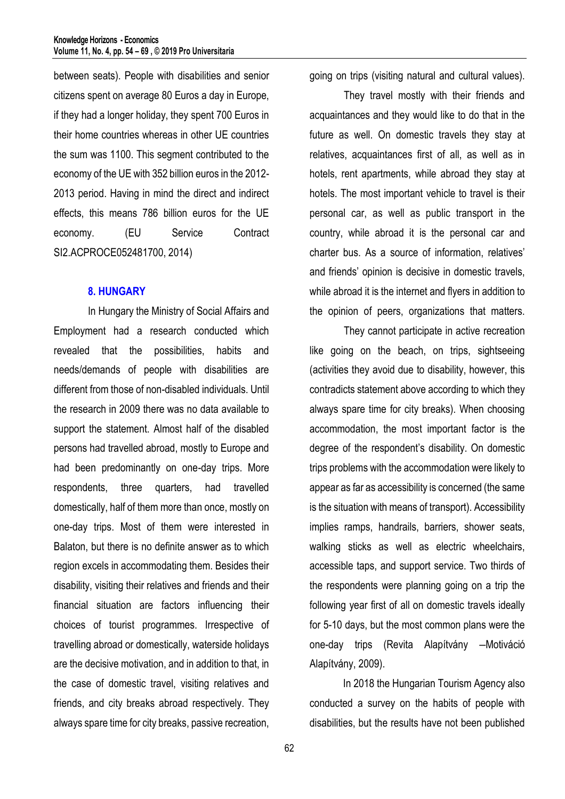between seats). People with disabilities and senior citizens spent on average 80 Euros a day in Europe, if they had a longer holiday, they spent 700 Euros in their home countries whereas in other UE countries the sum was 1100. This segment contributed to the economy of the UE with 352 billion euros in the 2012- 2013 period. Having in mind the direct and indirect effects, this means 786 billion euros for the UE economy. (EU Service Contract SI2.ACPROCE052481700, 2014)

#### **8. HUNGARY**

In Hungary the Ministry of Social Affairs and Employment had a research conducted which revealed that the possibilities, habits and needs/demands of people with disabilities are different from those of non-disabled individuals. Until the research in 2009 there was no data available to support the statement. Almost half of the disabled persons had travelled abroad, mostly to Europe and had been predominantly on one-day trips. More respondents, three quarters, had travelled domestically, half of them more than once, mostly on one-day trips. Most of them were interested in Balaton, but there is no definite answer as to which region excels in accommodating them. Besides their disability, visiting their relatives and friends and their financial situation are factors influencing their choices of tourist programmes. Irrespective of travelling abroad or domestically, waterside holidays are the decisive motivation, and in addition to that, in the case of domestic travel, visiting relatives and friends, and city breaks abroad respectively. They always spare time for city breaks, passive recreation, going on trips (visiting natural and cultural values).

They travel mostly with their friends and acquaintances and they would like to do that in the future as well. On domestic travels they stay at relatives, acquaintances first of all, as well as in hotels, rent apartments, while abroad they stay at hotels. The most important vehicle to travel is their personal car, as well as public transport in the country, while abroad it is the personal car and charter bus. As a source of information, relatives' and friends' opinion is decisive in domestic travels, while abroad it is the internet and flyers in addition to the opinion of peers, organizations that matters.

They cannot participate in active recreation like going on the beach, on trips, sightseeing (activities they avoid due to disability, however, this contradicts statement above according to which they always spare time for city breaks). When choosing accommodation, the most important factor is the degree of the respondent's disability. On domestic trips problems with the accommodation were likely to appear as far as accessibility is concerned (the same is the situation with means of transport). Accessibility implies ramps, handrails, barriers, shower seats, walking sticks as well as electric wheelchairs, accessible taps, and support service. Two thirds of the respondents were planning going on a trip the following year first of all on domestic travels ideally for 5-10 days, but the most common plans were the one-day trips (Revita Alapítvány – Motiváció Alapítvány, 2009).

In 2018 the Hungarian Tourism Agency also conducted a survey on the habits of people with disabilities, but the results have not been published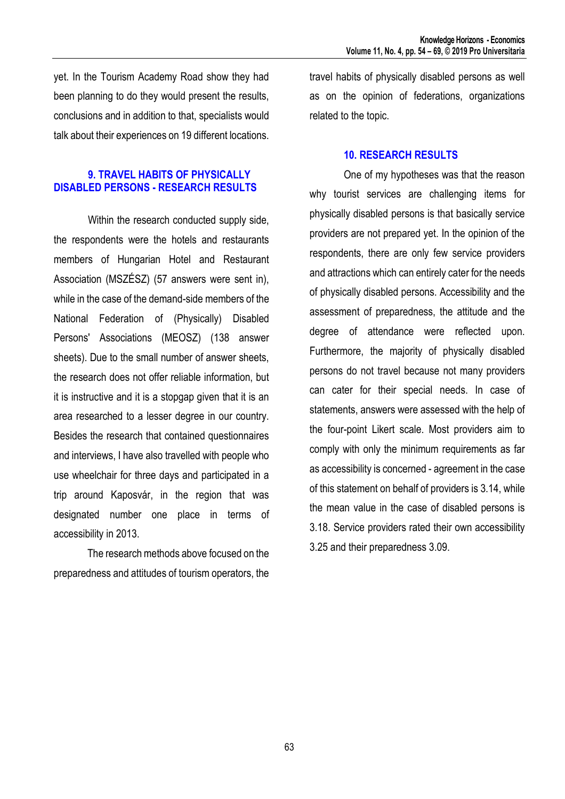yet. In the Tourism Academy Road show they had been planning to do they would present the results, conclusions and in addition to that, specialists would talk about their experiences on 19 different locations.

## **9. TRAVEL HABITS OF PHYSICALLY DISABLED PERSONS - RESEARCH RESULTS**

Within the research conducted supply side, the respondents were the hotels and restaurants members of Hungarian Hotel and Restaurant Association (MSZÉSZ) (57 answers were sent in), while in the case of the demand-side members of the National Federation of (Physically) Disabled Persons' Associations (MEOSZ) (138 answer sheets). Due to the small number of answer sheets, the research does not offer reliable information, but it is instructive and it is a stopgap given that it is an area researched to a lesser degree in our country. Besides the research that contained questionnaires and interviews, I have also travelled with people who use wheelchair for three days and participated in a trip around Kaposvár, in the region that was designated number one place in terms of accessibility in 2013.

The research methods above focused on the preparedness and attitudes of tourism operators, the travel habits of physically disabled persons as well as on the opinion of federations, organizations related to the topic.

## **10. RESEARCH RESULTS**

One of my hypotheses was that the reason why tourist services are challenging items for physically disabled persons is that basically service providers are not prepared yet. In the opinion of the respondents, there are only few service providers and attractions which can entirely cater for the needs of physically disabled persons. Accessibility and the assessment of preparedness, the attitude and the degree of attendance were reflected upon. Furthermore, the majority of physically disabled persons do not travel because not many providers can cater for their special needs. In case of statements, answers were assessed with the help of the four-point Likert scale. Most providers aim to comply with only the minimum requirements as far as accessibility is concerned - agreement in the case of this statement on behalf of providers is 3.14, while the mean value in the case of disabled persons is 3.18. Service providers rated their own accessibility 3.25 and their preparedness 3.09.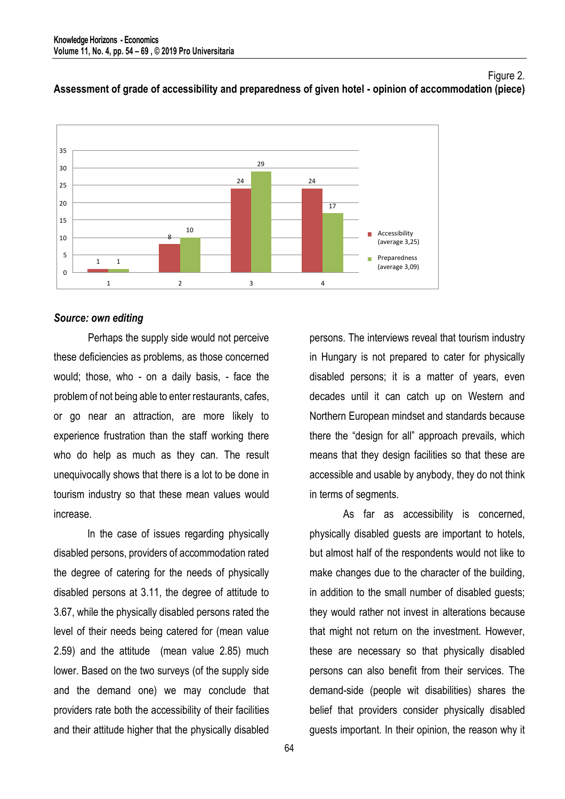

#### Figure 2. **Assessment of grade of accessibility and preparedness of given hotel - opinion of accommodation (piece)**

#### *Source: own editing*

Perhaps the supply side would not perceive these deficiencies as problems, as those concerned would; those, who - on a daily basis, - face the problem of not being able to enter restaurants, cafes, or go near an attraction, are more likely to experience frustration than the staff working there who do help as much as they can. The result unequivocally shows that there is a lot to be done in tourism industry so that these mean values would increase.

In the case of issues regarding physically disabled persons, providers of accommodation rated the degree of catering for the needs of physically disabled persons at 3.11, the degree of attitude to 3.67, while the physically disabled persons rated the level of their needs being catered for (mean value 2.59) and the attitude (mean value 2.85) much lower. Based on the two surveys (of the supply side and the demand one) we may conclude that providers rate both the accessibility of their facilities and their attitude higher that the physically disabled

persons. The interviews reveal that tourism industry in Hungary is not prepared to cater for physically disabled persons; it is a matter of years, even decades until it can catch up on Western and Northern European mindset and standards because there the "design for all" approach prevails, which means that they design facilities so that these are accessible and usable by anybody, they do not think in terms of segments.

As far as accessibility is concerned, physically disabled guests are important to hotels, but almost half of the respondents would not like to make changes due to the character of the building, in addition to the small number of disabled guests; they would rather not invest in alterations because that might not return on the investment. However, these are necessary so that physically disabled persons can also benefit from their services. The demand-side (people wit disabilities) shares the belief that providers consider physically disabled guests important. In their opinion, the reason why it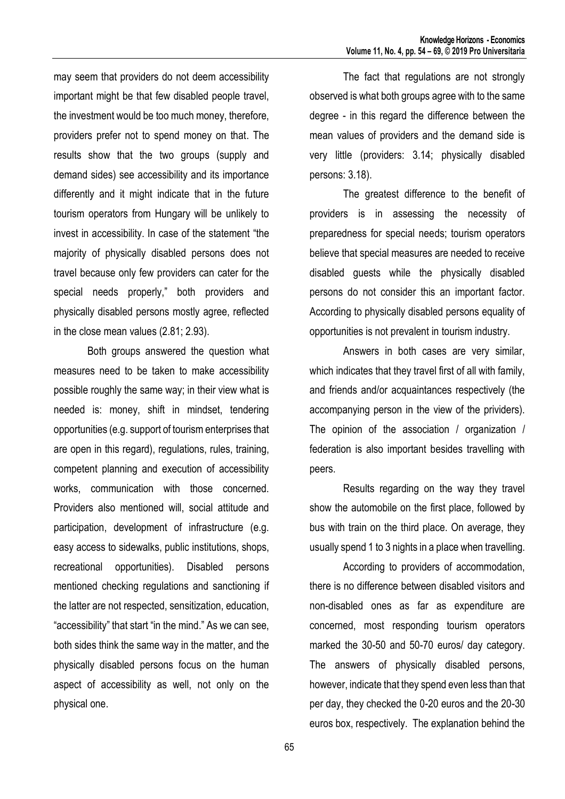may seem that providers do not deem accessibility important might be that few disabled people travel, the investment would be too much money, therefore, providers prefer not to spend money on that. The results show that the two groups (supply and demand sides) see accessibility and its importance differently and it might indicate that in the future tourism operators from Hungary will be unlikely to invest in accessibility. In case of the statement "the majority of physically disabled persons does not travel because only few providers can cater for the special needs properly," both providers and physically disabled persons mostly agree, reflected in the close mean values (2.81; 2.93).

Both groups answered the question what measures need to be taken to make accessibility possible roughly the same way; in their view what is needed is: money, shift in mindset, tendering opportunities (e.g. support of tourism enterprises that are open in this regard), regulations, rules, training, competent planning and execution of accessibility works, communication with those concerned. Providers also mentioned will, social attitude and participation, development of infrastructure (e.g. easy access to sidewalks, public institutions, shops, recreational opportunities). Disabled persons mentioned checking regulations and sanctioning if the latter are not respected, sensitization, education, "accessibility" that start "in the mind." As we can see, both sides think the same way in the matter, and the physically disabled persons focus on the human aspect of accessibility as well, not only on the physical one.

The fact that regulations are not strongly observed is what both groups agree with to the same degree - in this regard the difference between the mean values of providers and the demand side is very little (providers: 3.14; physically disabled persons: 3.18).

The greatest difference to the benefit of providers is in assessing the necessity of preparedness for special needs; tourism operators believe that special measures are needed to receive disabled guests while the physically disabled persons do not consider this an important factor. According to physically disabled persons equality of opportunities is not prevalent in tourism industry.

Answers in both cases are very similar, which indicates that they travel first of all with family, and friends and/or acquaintances respectively (the accompanying person in the view of the prividers). The opinion of the association / organization / federation is also important besides travelling with peers.

Results regarding on the way they travel show the automobile on the first place, followed by bus with train on the third place. On average, they usually spend 1 to 3 nights in a place when travelling.

According to providers of accommodation, there is no difference between disabled visitors and non-disabled ones as far as expenditure are concerned, most responding tourism operators marked the 30-50 and 50-70 euros/ day category. The answers of physically disabled persons, however, indicate that they spend even less than that per day, they checked the 0-20 euros and the 20-30 euros box, respectively. The explanation behind the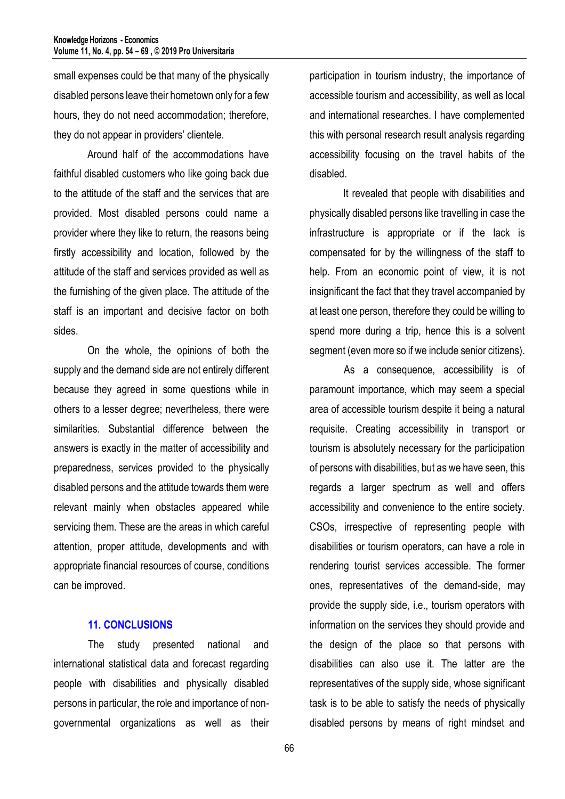small expenses could be that many of the physically disabled persons leave their hometown only for a few hours, they do not need accommodation; therefore, they do not appear in providers' clientele.

Around half of the accommodations have faithful disabled customers who like going back due to the attitude of the staff and the services that are provided. Most disabled persons could name a provider where they like to return, the reasons being firstly accessibility and location, followed by the attitude of the staff and services provided as well as the furnishing of the given place. The attitude of the staff is an important and decisive factor on both sides.

On the whole, the opinions of both the supply and the demand side are not entirely different because they agreed in some questions while in others to a lesser degree; nevertheless, there were similarities. Substantial difference between the answers is exactly in the matter of accessibility and preparedness, services provided to the physically disabled persons and the attitude towards them were relevant mainly when obstacles appeared while servicing them. These are the areas in which careful attention, proper attitude, developments and with appropriate financial resources of course, conditions can be improved.

## **11. CONCLUSIONS**

The study presented national and international statistical data and forecast regarding people with disabilities and physically disabled persons in particular, the role and importance of nongovernmental organizations as well as their

participation in tourism industry, the importance of accessible tourism and accessibility, as well as local and international researches. I have complemented this with personal research result analysis regarding accessibility focusing on the travel habits of the disabled.

It revealed that people with disabilities and physically disabled persons like travelling in case the infrastructure is appropriate or if the lack is compensated for by the willingness of the staff to help. From an economic point of view, it is not insignificant the fact that they travel accompanied by at least one person, therefore they could be willing to spend more during a trip, hence this is a solvent segment (even more so if we include senior citizens).

As a consequence, accessibility is of paramount importance, which may seem a special area of accessible tourism despite it being a natural requisite. Creating accessibility in transport or tourism is absolutely necessary for the participation of persons with disabilities, but as we have seen, this regards a larger spectrum as well and offers accessibility and convenience to the entire society. CSOs, irrespective of representing people with disabilities or tourism operators, can have a role in rendering tourist services accessible. The former ones, representatives of the demand-side, may provide the supply side, i.e., tourism operators with information on the services they should provide and the design of the place so that persons with disabilities can also use it. The latter are the representatives of the supply side, whose significant task is to be able to satisfy the needs of physically disabled persons by means of right mindset and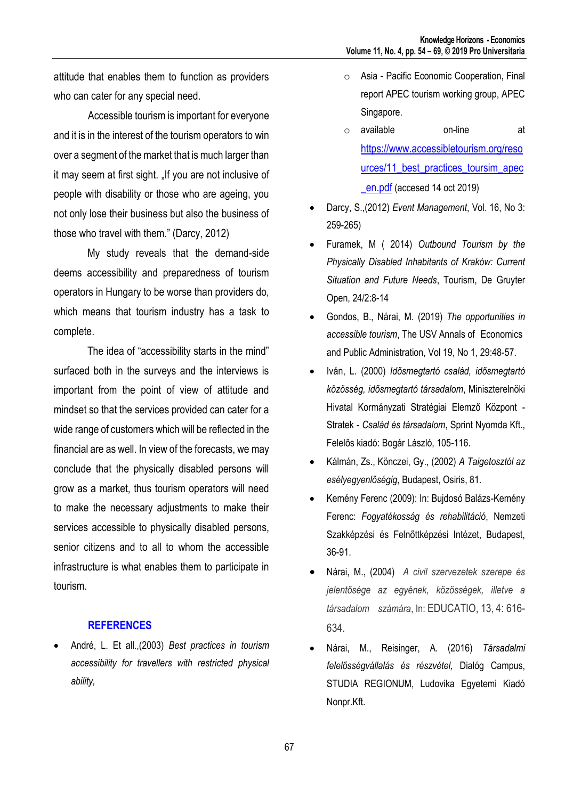attitude that enables them to function as providers who can cater for any special need.

Accessible tourism is important for everyone and it is in the interest of the tourism operators to win over a segment of the market that is much larger than it may seem at first sight. "If you are not inclusive of people with disability or those who are ageing, you not only lose their business but also the business of those who travel with them." (Darcy, 2012)

My study reveals that the demand-side deems accessibility and preparedness of tourism operators in Hungary to be worse than providers do, which means that tourism industry has a task to complete.

The idea of "accessibility starts in the mind" surfaced both in the surveys and the interviews is important from the point of view of attitude and mindset so that the services provided can cater for a wide range of customers which will be reflected in the financial are as well. In view of the forecasts, we may conclude that the physically disabled persons will grow as a market, thus tourism operators will need to make the necessary adjustments to make their services accessible to physically disabled persons, senior citizens and to all to whom the accessible infrastructure is what enables them to participate in tourism.

## **REFERENCES**

 André, L. Et all.,(2003) *Best practices in tourism accessibility for travellers with restricted physical ability,*

- o Asia Pacific Economic Cooperation, Final report APEC tourism working group, APEC Singapore.
- o available on-line at [https://www.accessibletourism.org/reso](https://www.accessibletourism.org/resources/11_best_practices_toursim_apec_en.pdf) [urces/11\\_best\\_practices\\_toursim\\_apec](https://www.accessibletourism.org/resources/11_best_practices_toursim_apec_en.pdf) en.pdf (accesed 14 oct 2019)
- Darcy, S.,(2012) *Event Management*, Vol. 16, No 3: 259-265)
- Furamek, M ( 2014) *Outbound Tourism by the Physically Disabled Inhabitants of Kraków: Current Situation and Future Needs*, Tourism, De Gruyter Open, 24/2:8-14
- Gondos, B., Nárai, M. (2019) *The opportunities in accessible tourism*, The USV Annals of Economics and Public Administration, Vol 19, No 1, 29:48-57.
- Iván, L. (2000) *Idősmegtartó család, idősmegtartó közösség, idősmegtartó társadalom*, Miniszterelnöki Hivatal Kormányzati Stratégiai Elemző Központ - Stratek - *Család és társadalom*, Sprint Nyomda Kft., Felelős kiadó: Bogár László, 105-116.
- Kálmán, Zs., Könczei, Gy., (2002) *A Taigetosztól az esélyegyenlőségig*, Budapest, Osiris, 81.
- Kemény Ferenc (2009): In: Bujdosó Balázs-Kemény Ferenc: *Fogyatékosság és rehabilitáció*, Nemzeti Szakképzési és Felnőttképzési Intézet, Budapest, 36-91.
- Nárai, M., (2004) *A civil szervezetek szerepe és jelentősége az egyének, közösségek, illetve a társadalom számára*, In: EDUCATIO, 13, 4: 616- 634.
- Nárai, M., Reisinger, A. (2016) *Társadalmi felelősségvállalás és részvétel,* Dialóg Campus, STUDIA REGIONUM, Ludovika Egyetemi Kiadó Nonpr.Kft.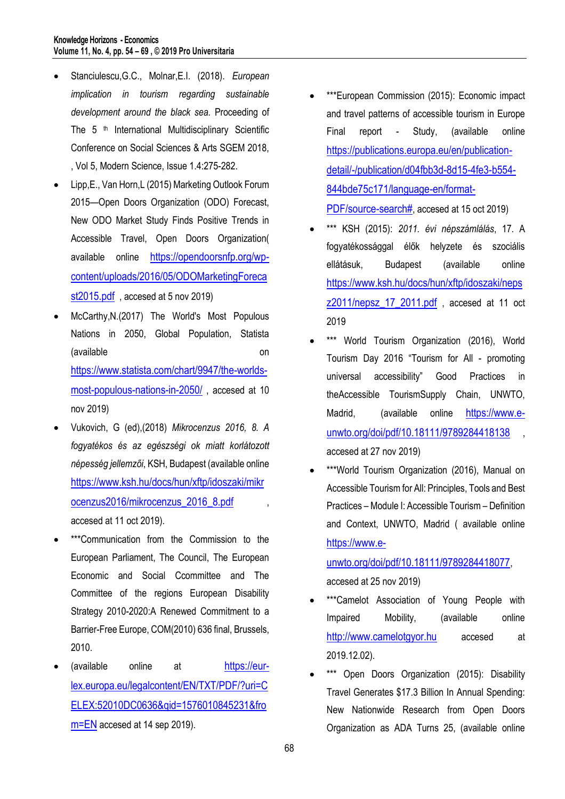- Stanciulescu,G.C., Molnar,E.I. (2018). *European implication in tourism regarding sustainable development around the black sea.* Proceeding of The 5<sup>th</sup> International Multidisciplinary Scientific Conference on Social Sciences & Arts SGEM 2018, , Vol 5, Modern Science, Issue 1.4:275-282.
- Lipp,E., Van Horn,L (2015) Marketing Outlook Forum 2015—Open Doors Organization (ODO) Forecast, New ODO Market Study Finds Positive Trends in Accessible Travel, Open Doors Organization( available online [https://opendoorsnfp.org/wp](https://opendoorsnfp.org/wp-content/uploads/2016/05/ODOMarketingForecast2015.pdf)[content/uploads/2016/05/ODOMarketingForeca](https://opendoorsnfp.org/wp-content/uploads/2016/05/ODOMarketingForecast2015.pdf) [st2015.pdf](https://opendoorsnfp.org/wp-content/uploads/2016/05/ODOMarketingForecast2015.pdf) , accesed at 5 nov 2019)
- McCarthy,N.(2017) The World's Most Populous Nations in 2050, Global Population, Statista (available on [https://www.statista.com/chart/9947/the-worlds](https://www.statista.com/chart/9947/the-worlds-most-populous-nations-in-2050/)[most-populous-nations-in-2050/](https://www.statista.com/chart/9947/the-worlds-most-populous-nations-in-2050/) , accesed at 10 nov 2019)
- Vukovich, G (ed),(2018) *Mikrocenzus 2016, 8. A fogyatékos és az egészségi ok miatt korlátozott népesség jellemzői*, KSH, Budapest (available online [https://www.ksh.hu/docs/hun/xftp/idoszaki/mikr](https://www.ksh.hu/docs/hun/xftp/idoszaki/mikrocenzus2016/mikrocenzus_2016_8.pdf) [ocenzus2016/mikrocenzus\\_2016\\_8.pdf](https://www.ksh.hu/docs/hun/xftp/idoszaki/mikrocenzus2016/mikrocenzus_2016_8.pdf) accesed at 11 oct 2019).
- \*\*\*Communication from the Commission to the European Parliament, The Council, The European Economic and Social Ccommittee and The Committee of the regions European Disability Strategy 2010-2020:A Renewed Commitment to a Barrier-Free Europe, COM(2010) 636 final, Brussels, 2010.
- (available online at [https://eur](https://eur-lex.europa.eu/legalcontent/EN/TXT/PDF/?uri=CELEX:52010DC0636&qid=1576010845231&from=EN)[lex.europa.eu/legalcontent/EN/TXT/PDF/?uri=C](https://eur-lex.europa.eu/legalcontent/EN/TXT/PDF/?uri=CELEX:52010DC0636&qid=1576010845231&from=EN) [ELEX:52010DC0636&qid=1576010845231&fro](https://eur-lex.europa.eu/legalcontent/EN/TXT/PDF/?uri=CELEX:52010DC0636&qid=1576010845231&from=EN) [m=EN](https://eur-lex.europa.eu/legalcontent/EN/TXT/PDF/?uri=CELEX:52010DC0636&qid=1576010845231&from=EN) accesed at 14 sep 2019).
- \*\*\*European Commission (2015): Economic impact and travel patterns of accessible tourism in Europe Final report - Study, (available online [https://publications.europa.eu/en/publication](https://publications.europa.eu/en/publication-detail/-/publication/d04fbb3d-8d15-4fe3-b554-844bde75c171/language-en/format-PDF/source-search)[detail/-/publication/d04fbb3d-8d15-4fe3-b554-](https://publications.europa.eu/en/publication-detail/-/publication/d04fbb3d-8d15-4fe3-b554-844bde75c171/language-en/format-PDF/source-search) [844bde75c171/language-en/format-](https://publications.europa.eu/en/publication-detail/-/publication/d04fbb3d-8d15-4fe3-b554-844bde75c171/language-en/format-PDF/source-search)[PDF/source-search#](https://publications.europa.eu/en/publication-detail/-/publication/d04fbb3d-8d15-4fe3-b554-844bde75c171/language-en/format-PDF/source-search), accesed at 15 oct 2019)
- \*\*\* KSH (2015): *2011. évi népszámlálás*, 17. A fogyatékossággal élők helyzete és szociális ellátásuk, Budapest (available online [https://www.ksh.hu/docs/hun/xftp/idoszaki/neps](https://www.ksh.hu/docs/hun/xftp/idoszaki/nepsz2011/nepsz_17_2011.pdf) z2011/nepsz 17 2011.pdf, accesed at 11 oct 2019
- \*\*\* World Tourism Organization (2016), World Tourism Day 2016 "Tourism for All - promoting universal accessibility" Good Practices in theAccessible TourismSupply Chain, UNWTO, Madrid, (available online [https://www.e](https://www.e-unwto.org/doi/pdf/10.18111/9789284418138)[unwto.org/doi/pdf/10.18111/9789284418138](https://www.e-unwto.org/doi/pdf/10.18111/9789284418138) accesed at 27 nov 2019)
- \*\*\*World Tourism Organization (2016), Manual on Accessible Tourism for All: Principles, Tools and Best Practices – Module I: Accessible Tourism – Definition and Context, UNWTO, Madrid ( available online [https://www.e-](https://www.e-unwto.org/doi/pdf/10.18111/9789284418077)

[unwto.org/doi/pdf/10.18111/9789284418077](https://www.e-unwto.org/doi/pdf/10.18111/9789284418077), accesed at 25 nov 2019)

- \*\*\*Camelot Association of Young People with Impaired Mobility, (available online [http://www.camelotgyor.hu](http://www.camelotgyor.hu/) accesed at 2019.12.02).
- \*\*\* Open Doors Organization (2015): Disability Travel Generates \$17.3 Billion In Annual Spending: New Nationwide Research from Open Doors Organization as ADA Turns 25, (available online